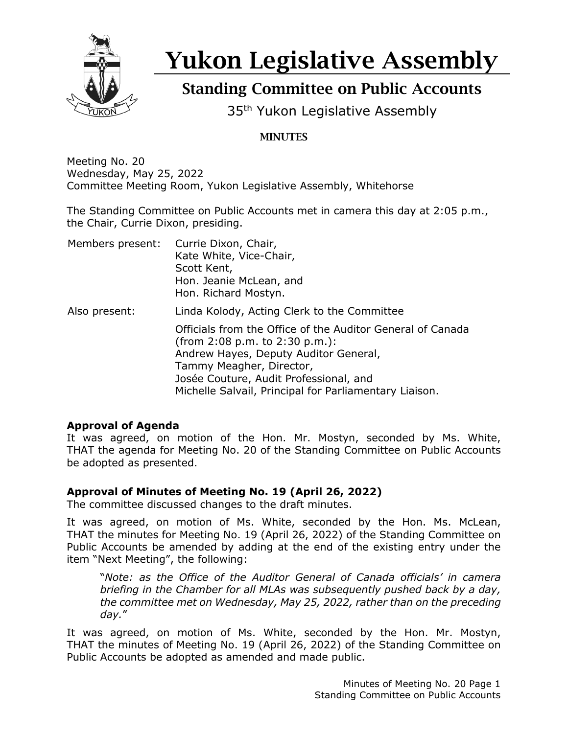

# Yukon Legislative Assembly

# Standing Committee on Public Accounts

35<sup>th</sup> Yukon Legislative Assembly

# MINUTES

Meeting No. 20 Wednesday, May 25, 2022 Committee Meeting Room, Yukon Legislative Assembly, Whitehorse

The Standing Committee on Public Accounts met in camera this day at 2:05 p.m., the Chair, Currie Dixon, presiding.

| Members present: | Currie Dixon, Chair,<br>Kate White, Vice-Chair,<br>Scott Kent,<br>Hon. Jeanie McLean, and<br>Hon. Richard Mostyn. |
|------------------|-------------------------------------------------------------------------------------------------------------------|
| Also present:    | Linda Kolody, Acting Clerk to the Committee<br>Officials from the Office of the Auditor General of Canada         |
|                  | (from $2:08$ p.m. to $2:30$ p.m.):<br>Andrew Hayes, Deputy Auditor General,<br>Tammy Meagher, Director,           |
|                  | Josée Couture, Audit Professional, and<br>Michelle Salvail, Principal for Parliamentary Liaison.                  |

## **Approval of Agenda**

It was agreed, on motion of the Hon. Mr. Mostyn, seconded by Ms. White, THAT the agenda for Meeting No. 20 of the Standing Committee on Public Accounts be adopted as presented.

## **Approval of Minutes of Meeting No. 19 (April 26, 2022)**

The committee discussed changes to the draft minutes.

It was agreed, on motion of Ms. White, seconded by the Hon. Ms. McLean, THAT the minutes for Meeting No. 19 (April 26, 2022) of the Standing Committee on Public Accounts be amended by adding at the end of the existing entry under the item "Next Meeting", the following:

"*Note: as the Office of the Auditor General of Canada officials' in camera briefing in the Chamber for all MLAs was subsequently pushed back by a day, the committee met on Wednesday, May 25, 2022, rather than on the preceding day.*"

It was agreed, on motion of Ms. White, seconded by the Hon. Mr. Mostyn, THAT the minutes of Meeting No. 19 (April 26, 2022) of the Standing Committee on Public Accounts be adopted as amended and made public.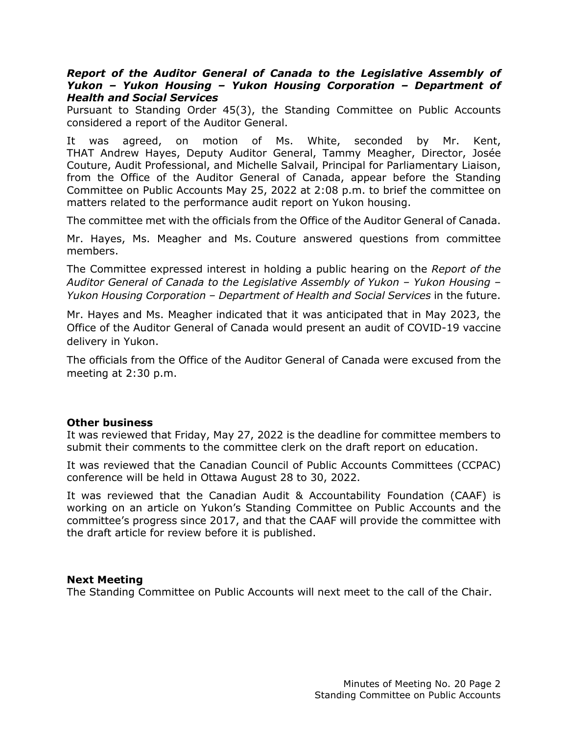#### *Report of the Auditor General of Canada to the Legislative Assembly of Yukon – Yukon Housing – Yukon Housing Corporation – Department of Health and Social Services*

Pursuant to Standing Order 45(3), the Standing Committee on Public Accounts considered a report of the Auditor General.

It was agreed, on motion of Ms. White, seconded by Mr. Kent, THAT Andrew Hayes, Deputy Auditor General, Tammy Meagher, Director, Josée Couture, Audit Professional, and Michelle Salvail, Principal for Parliamentary Liaison, from the Office of the Auditor General of Canada, appear before the Standing Committee on Public Accounts May 25, 2022 at 2:08 p.m. to brief the committee on matters related to the performance audit report on Yukon housing.

The committee met with the officials from the Office of the Auditor General of Canada.

Mr. Hayes, Ms. Meagher and Ms. Couture answered questions from committee members.

The Committee expressed interest in holding a public hearing on the *Report of the Auditor General of Canada to the Legislative Assembly of Yukon – Yukon Housing – Yukon Housing Corporation – Department of Health and Social Services* in the future.

Mr. Hayes and Ms. Meagher indicated that it was anticipated that in May 2023, the Office of the Auditor General of Canada would present an audit of COVID-19 vaccine delivery in Yukon.

The officials from the Office of the Auditor General of Canada were excused from the meeting at 2:30 p.m.

#### **Other business**

It was reviewed that Friday, May 27, 2022 is the deadline for committee members to submit their comments to the committee clerk on the draft report on education.

It was reviewed that the Canadian Council of Public Accounts Committees (CCPAC) conference will be held in Ottawa August 28 to 30, 2022.

It was reviewed that the Canadian Audit & Accountability Foundation (CAAF) is working on an article on Yukon's Standing Committee on Public Accounts and the committee's progress since 2017, and that the CAAF will provide the committee with the draft article for review before it is published.

#### **Next Meeting**

The Standing Committee on Public Accounts will next meet to the call of the Chair.